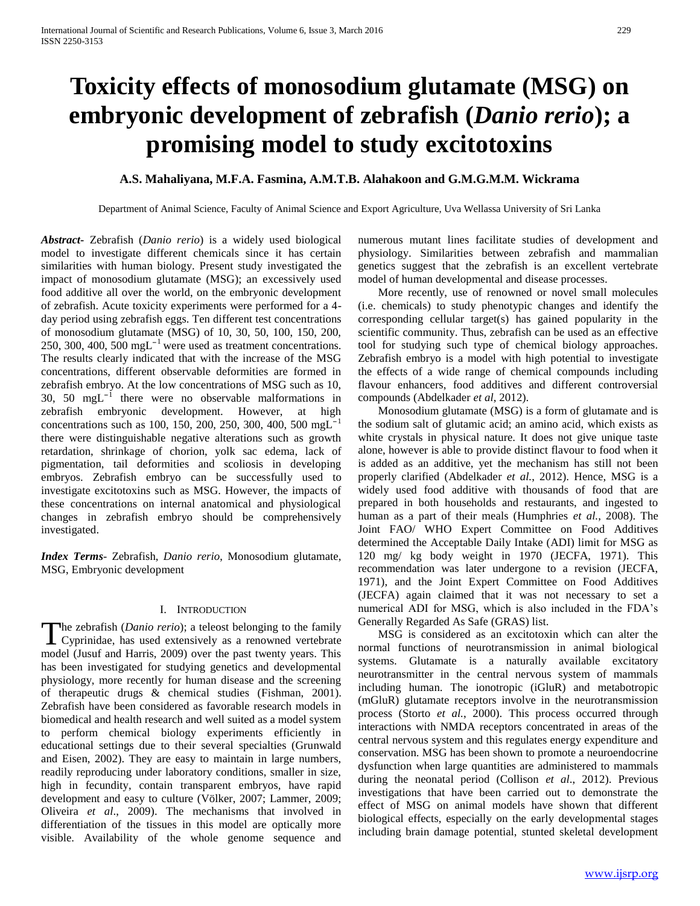# **Toxicity effects of monosodium glutamate (MSG) on embryonic development of zebrafish (***Danio rerio***); a promising model to study excitotoxins**

## **A.S. Mahaliyana, M.F.A. Fasmina, A.M.T.B. Alahakoon and G.M.G.M.M. Wickrama**

Department of Animal Science, Faculty of Animal Science and Export Agriculture, Uva Wellassa University of Sri Lanka

*Abstract***-** Zebrafish (*Danio rerio*) is a widely used biological model to investigate different chemicals since it has certain similarities with human biology. Present study investigated the impact of monosodium glutamate (MSG); an excessively used food additive all over the world, on the embryonic development of zebrafish. Acute toxicity experiments were performed for a 4 day period using zebrafish eggs. Ten different test concentrations of monosodium glutamate (MSG) of 10, 30, 50, 100, 150, 200, 250, 300, 400, 500 mg $L^{-1}$  were used as treatment concentrations. The results clearly indicated that with the increase of the MSG concentrations, different observable deformities are formed in zebrafish embryo. At the low concentrations of MSG such as 10, 30, 50 mg $L^{-1}$  there were no observable malformations in zebrafish embryonic development. However, at high concentrations such as 100, 150, 200, 250, 300, 400, 500 mgL<sup>-1</sup> there were distinguishable negative alterations such as growth retardation, shrinkage of chorion, yolk sac edema, lack of pigmentation, tail deformities and scoliosis in developing embryos. Zebrafish embryo can be successfully used to investigate excitotoxins such as MSG. However, the impacts of these concentrations on internal anatomical and physiological changes in zebrafish embryo should be comprehensively investigated.

*Index Terms*- Zebrafish, *Danio rerio*, Monosodium glutamate, MSG, Embryonic development

### I. INTRODUCTION

he zebrafish (*Danio rerio*); a teleost belonging to the family The zebrafish (*Danio rerio*); a teleost belonging to the family Cyprinidae, has used extensively as a renowned vertebrate model (Jusuf and Harris, 2009) over the past twenty years. This has been investigated for studying genetics and developmental physiology, more recently for human disease and the screening of therapeutic drugs & chemical studies (Fishman, 2001). Zebrafish have been considered as favorable research models in biomedical and health research and well suited as a model system to perform chemical biology experiments efficiently in educational settings due to their several specialties (Grunwald and Eisen, 2002). They are easy to maintain in large numbers, readily reproducing under laboratory conditions, smaller in size, high in fecundity, contain transparent embryos, have rapid development and easy to culture (Völker, 2007; Lammer, 2009; Oliveira *et al*., 2009). The mechanisms that involved in differentiation of the tissues in this model are optically more visible. Availability of the whole genome sequence and

numerous mutant lines facilitate studies of development and physiology. Similarities between zebrafish and mammalian genetics suggest that the zebrafish is an excellent vertebrate model of human developmental and disease processes.

 More recently, use of renowned or novel small molecules (i.e. chemicals) to study phenotypic changes and identify the corresponding cellular target(s) has gained popularity in the scientific community. Thus, zebrafish can be used as an effective tool for studying such type of chemical biology approaches. Zebrafish embryo is a model with high potential to investigate the effects of a wide range of chemical compounds including flavour enhancers, food additives and different controversial compounds (Abdelkader *et al*, 2012).

 Monosodium glutamate (MSG) is a form of glutamate and is the sodium salt of glutamic acid; an amino acid, which exists as white crystals in physical nature. It does not give unique taste alone, however is able to provide distinct flavour to food when it is added as an additive, yet the mechanism has still not been properly clarified (Abdelkader *et al.*, 2012). Hence, MSG is a widely used food additive with thousands of food that are prepared in both households and restaurants, and ingested to human as a part of their meals (Humphries *et al.*, 2008). The Joint FAO/ WHO Expert Committee on Food Additives determined the Acceptable Daily Intake (ADI) limit for MSG as 120 mg/ kg body weight in 1970 (JECFA, 1971). This recommendation was later undergone to a revision (JECFA, 1971), and the Joint Expert Committee on Food Additives (JECFA) again claimed that it was not necessary to set a numerical ADI for MSG, which is also included in the FDA's Generally Regarded As Safe (GRAS) list.

 MSG is considered as an excitotoxin which can alter the normal functions of neurotransmission in animal biological systems. Glutamate is a naturally available excitatory neurotransmitter in the central nervous system of mammals including human. The ionotropic (iGluR) and metabotropic (mGluR) glutamate receptors involve in the neurotransmission process (Storto *et al.*, 2000). This process occurred through interactions with NMDA receptors concentrated in areas of the central nervous system and this regulates energy expenditure and conservation. MSG has been shown to promote a neuroendocrine dysfunction when large quantities are administered to mammals during the neonatal period (Collison *et al*., 2012). Previous investigations that have been carried out to demonstrate the effect of MSG on animal models have shown that different biological effects, especially on the early developmental stages including brain damage potential, stunted skeletal development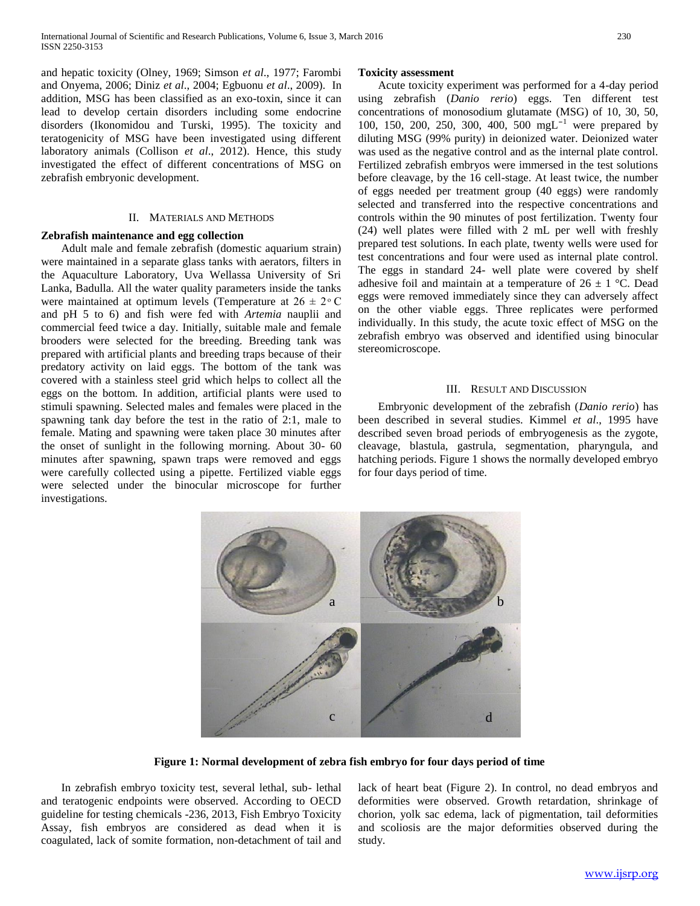and hepatic toxicity (Olney, 1969; Simson *et al*., 1977; Farombi and Onyema, 2006; Diniz *et al*., 2004; Egbuonu *et al*., 2009). In addition, MSG has been classified as an exo-toxin, since it can lead to develop certain disorders including some endocrine disorders (Ikonomidou and Turski, 1995). The toxicity and teratogenicity of MSG have been investigated using different laboratory animals (Collison *et al*., 2012). Hence, this study investigated the effect of different concentrations of MSG on zebrafish embryonic development.

## II. MATERIALS AND METHODS

#### **Zebrafish maintenance and egg collection**

 Adult male and female zebrafish (domestic aquarium strain) were maintained in a separate glass tanks with aerators, filters in the Aquaculture Laboratory, Uva Wellassa University of Sri Lanka, Badulla. All the water quality parameters inside the tanks were maintained at optimum levels (Temperature at  $26 \pm 2$  °C and pH 5 to 6) and fish were fed with *Artemia* nauplii and commercial feed twice a day. Initially, suitable male and female brooders were selected for the breeding. Breeding tank was prepared with artificial plants and breeding traps because of their predatory activity on laid eggs. The bottom of the tank was covered with a stainless steel grid which helps to collect all the eggs on the bottom. In addition, artificial plants were used to stimuli spawning. Selected males and females were placed in the spawning tank day before the test in the ratio of 2:1, male to female. Mating and spawning were taken place 30 minutes after the onset of sunlight in the following morning. About 30- 60 minutes after spawning, spawn traps were removed and eggs were carefully collected using a pipette. Fertilized viable eggs were selected under the binocular microscope for further investigations.

#### **Toxicity assessment**

 Acute toxicity experiment was performed for a 4-day period using zebrafish (*Danio rerio*) eggs. Ten different test concentrations of monosodium glutamate (MSG) of 10, 30, 50, 100, 150, 200, 250, 300, 400, 500 mgL<sup>-1</sup> were prepared by diluting MSG (99% purity) in deionized water. Deionized water was used as the negative control and as the internal plate control. Fertilized zebrafish embryos were immersed in the test solutions before cleavage, by the 16 cell-stage. At least twice, the number of eggs needed per treatment group (40 eggs) were randomly selected and transferred into the respective concentrations and controls within the 90 minutes of post fertilization. Twenty four (24) well plates were filled with 2 mL per well with freshly prepared test solutions. In each plate, twenty wells were used for test concentrations and four were used as internal plate control. The eggs in standard 24- well plate were covered by shelf adhesive foil and maintain at a temperature of  $26 \pm 1$  °C. Dead eggs were removed immediately since they can adversely affect on the other viable eggs. Three replicates were performed individually. In this study, the acute toxic effect of MSG on the zebrafish embryo was observed and identified using binocular stereomicroscope.

#### III. RESULT AND DISCUSSION

 Embryonic development of the zebrafish (*Danio rerio*) has been described in several studies. Kimmel *et al*., 1995 have described seven broad periods of embryogenesis as the zygote, cleavage, blastula, gastrula, segmentation, pharyngula, and hatching periods. Figure 1 shows the normally developed embryo for four days period of time.



**Figure 1: Normal development of zebra fish embryo for four days period of time**

 In zebrafish embryo toxicity test, several lethal, sub- lethal and teratogenic endpoints were observed. According to OECD guideline for testing chemicals -236, 2013, Fish Embryo Toxicity Assay, fish embryos are considered as dead when it is coagulated, lack of somite formation, non-detachment of tail and lack of heart beat (Figure 2). In control, no dead embryos and deformities were observed. Growth retardation, shrinkage of chorion, yolk sac edema, lack of pigmentation, tail deformities and scoliosis are the major deformities observed during the study.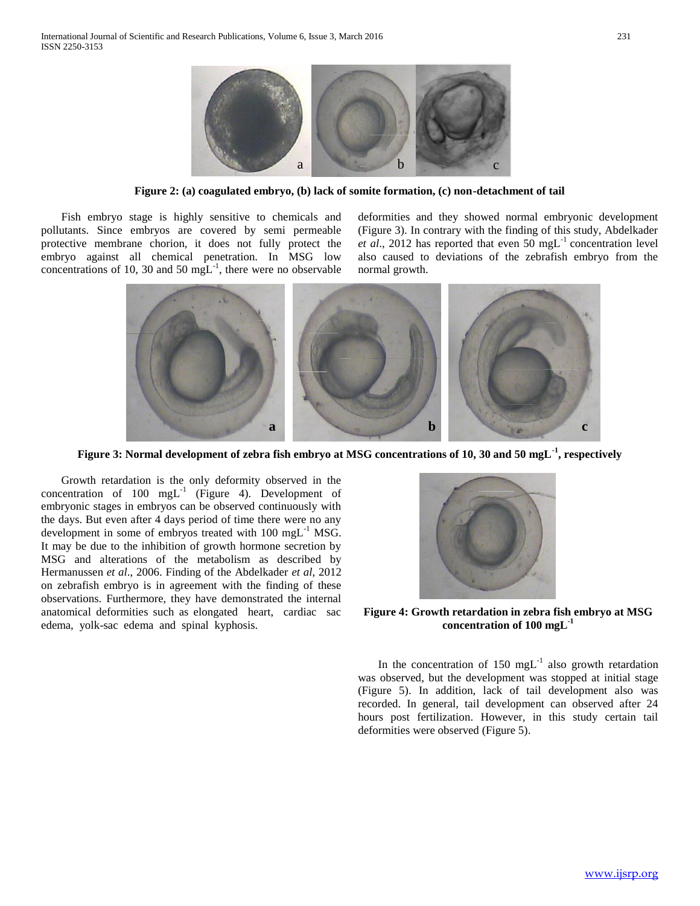

**Figure 2: (a) coagulated embryo, (b) lack of somite formation, (c) non-detachment of tail**

 Fish embryo stage is highly sensitive to chemicals and pollutants. Since embryos are covered by semi permeable protective membrane chorion, it does not fully protect the embryo against all chemical penetration. In MSG low concentrations of 10, 30 and 50  $mgL^{-1}$ , there were no observable deformities and they showed normal embryonic development (Figure 3). In contrary with the finding of this study, Abdelkader *et al.*, 2012 has reported that even 50 mgL<sup>-1</sup> concentration level also caused to deviations of the zebrafish embryo from the normal growth.



**Figure 3: Normal development of zebra fish embryo at MSG concentrations of 10, 30 and 50 mgL-1 , respectively**

 Growth retardation is the only deformity observed in the concentration of  $100 \text{ mgL}^{-1}$  (Figure 4). Development of embryonic stages in embryos can be observed continuously with the days. But even after 4 days period of time there were no any development in some of embryos treated with  $100 \text{ mgL}^{-1} \text{ MSG}$ . It may be due to the inhibition of growth hormone secretion by MSG and alterations of the metabolism as described by Hermanussen *et al*., 2006. Finding of the Abdelkader *et al*, 2012 on zebrafish embryo is in agreement with the finding of these observations. Furthermore, they have demonstrated the internal anatomical deformities such as elongated heart, cardiac sac edema, yolk-sac edema and spinal kyphosis.



**Figure 4: Growth retardation in zebra fish embryo at MSG concentration of 100 mgL-1**

In the concentration of 150  $mgL^{-1}$  also growth retardation was observed, but the development was stopped at initial stage (Figure 5). In addition, lack of tail development also was recorded. In general, tail development can observed after 24 hours post fertilization. However, in this study certain tail deformities were observed (Figure 5).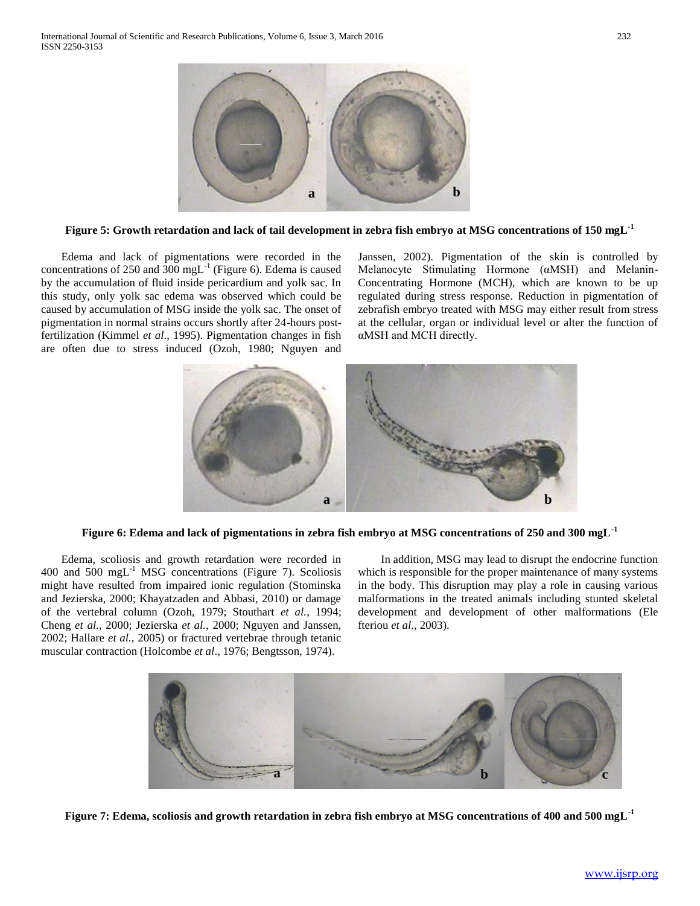

**Figure 5: Growth retardation and lack of tail development in zebra fish embryo at MSG concentrations of 150 mgL-1**

 Edema and lack of pigmentations were recorded in the concentrations of 250 and  $300 \text{ mgL}^{-1}$  (Figure 6). Edema is caused by the accumulation of fluid inside pericardium and yolk sac. In this study, only yolk sac edema was observed which could be caused by accumulation of MSG inside the yolk sac. The onset of pigmentation in normal strains occurs shortly after 24-hours postfertilization (Kimmel *et al*., 1995). Pigmentation changes in fish are often due to stress induced (Ozoh, 1980; Nguyen and

Janssen, 2002). Pigmentation of the skin is controlled by Melanocyte Stimulating Hormone (αMSH) and Melanin-Concentrating Hormone (MCH), which are known to be up regulated during stress response. Reduction in pigmentation of zebrafish embryo treated with MSG may either result from stress at the cellular, organ or individual level or alter the function of αMSH and MCH directly.



**Figure 6: Edema and lack of pigmentations in zebra fish embryo at MSG concentrations of 250 and 300 mgL-1**

 Edema, scoliosis and growth retardation were recorded in 400 and 500 mg $L^{-1}$  MSG concentrations (Figure 7). Scoliosis might have resulted from impaired ionic regulation (Stominska and Jezierska, 2000; Khayatzaden and Abbasi, 2010) or damage of the vertebral column (Ozoh, 1979; Stouthart *et al.*, 1994; Cheng *et al.*, 2000; Jezierska *et al.*, 2000; Nguyen and Janssen, 2002; Hallare *et al.*, 2005) or fractured vertebrae through tetanic muscular contraction (Holcombe *et al*., 1976; Bengtsson, 1974).

 In addition, MSG may lead to disrupt the endocrine function which is responsible for the proper maintenance of many systems in the body. This disruption may play a role in causing various malformations in the treated animals including stunted skeletal development and development of other malformations (Ele fteriou *et al*., 2003).



**Figure 7: Edema, scoliosis and growth retardation in zebra fish embryo at MSG concentrations of 400 and 500 mgL-1**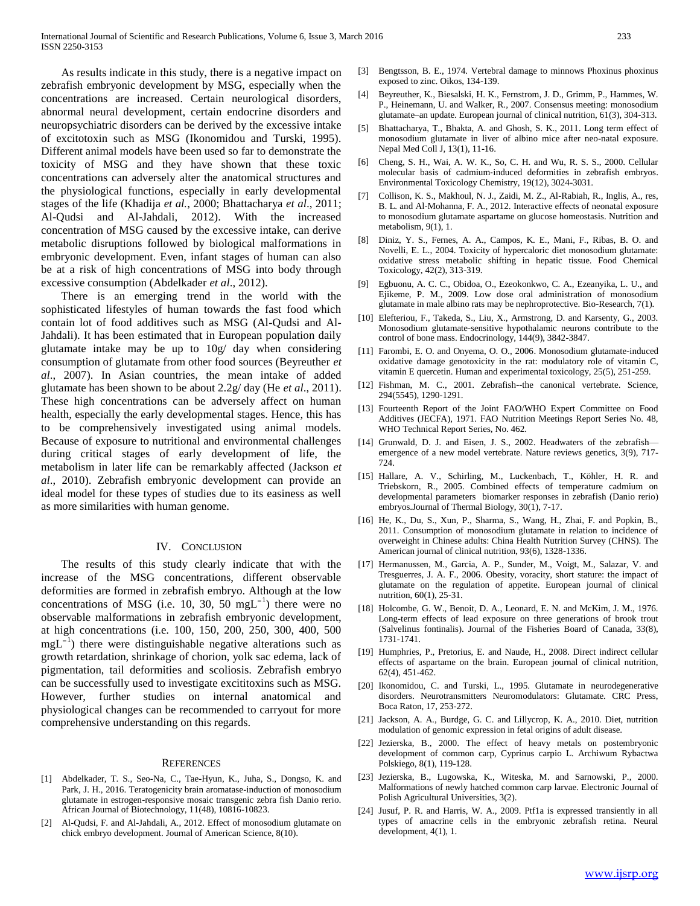As results indicate in this study, there is a negative impact on zebrafish embryonic development by MSG, especially when the concentrations are increased. Certain neurological disorders, abnormal neural development, certain endocrine disorders and neuropsychiatric disorders can be derived by the excessive intake of excitotoxin such as MSG (Ikonomidou and Turski, 1995). Different animal models have been used so far to demonstrate the toxicity of MSG and they have shown that these toxic concentrations can adversely alter the anatomical structures and the physiological functions, especially in early developmental stages of the life (Khadija *et al.*, 2000; Bhattacharya *et al*., 2011; Al-Qudsi and Al-Jahdali, 2012). With the increased concentration of MSG caused by the excessive intake, can derive metabolic disruptions followed by biological malformations in embryonic development. Even, infant stages of human can also be at a risk of high concentrations of MSG into body through excessive consumption (Abdelkader *et al*., 2012).

 There is an emerging trend in the world with the sophisticated lifestyles of human towards the fast food which contain lot of food additives such as MSG (Al-Qudsi and Al-Jahdali). It has been estimated that in European population daily glutamate intake may be up to 10g/ day when considering consumption of glutamate from other food sources (Beyreuther *et al*., 2007). In Asian countries, the mean intake of added glutamate has been shown to be about 2.2g/ day (He *et al*., 2011). These high concentrations can be adversely affect on human health, especially the early developmental stages. Hence, this has to be comprehensively investigated using animal models. Because of exposure to nutritional and environmental challenges during critical stages of early development of life, the metabolism in later life can be remarkably affected (Jackson *et al*., 2010). Zebrafish embryonic development can provide an ideal model for these types of studies due to its easiness as well as more similarities with human genome.

#### IV. CONCLUSION

 The results of this study clearly indicate that with the increase of the MSG concentrations, different observable deformities are formed in zebrafish embryo. Although at the low concentrations of MSG (i.e. 10, 30, 50  $mgL^{-1}$ ) there were no observable malformations in zebrafish embryonic development, at high concentrations (i.e. 100, 150, 200, 250, 300, 400, 500  $mgL^{-1}$ ) there were distinguishable negative alterations such as growth retardation, shrinkage of chorion, yolk sac edema, lack of pigmentation, tail deformities and scoliosis. Zebrafish embryo can be successfully used to investigate excititoxins such as MSG. However, further studies on internal anatomical and physiological changes can be recommended to carryout for more comprehensive understanding on this regards.

#### **REFERENCES**

- [1] Abdelkader, T. S., Seo-Na, C., Tae-Hyun, K., Juha, S., Dongso, K. and Park, J. H., 2016. Teratogenicity brain aromatase-induction of monosodium glutamate in estrogen-responsive mosaic transgenic zebra fish Danio rerio. African Journal of Biotechnology, 11(48), 10816-10823.
- [2] Al-Qudsi, F. and Al-Jahdali, A., 2012. Effect of monosodium glutamate on chick embryo development. Journal of American Science, 8(10).
- [3] Bengtsson, B. E., 1974. Vertebral damage to minnows Phoxinus phoxinus exposed to zinc. Oikos, 134-139.
- [4] Beyreuther, K., Biesalski, H. K., Fernstrom, J. D., Grimm, P., Hammes, W. P., Heinemann, U. and Walker, R., 2007. Consensus meeting: monosodium glutamate–an update. European journal of clinical nutrition, 61(3), 304-313.
- [5] Bhattacharya, T., Bhakta, A. and Ghosh, S. K., 2011. Long term effect of monosodium glutamate in liver of albino mice after neo-natal exposure. Nepal Med Coll J, 13(1), 11-16.
- [6] Cheng, S. H., Wai, A. W. K., So, C. H. and Wu, R. S. S., 2000. Cellular molecular basis of cadmium‐induced deformities in zebrafish embryos. Environmental Toxicology Chemistry, 19(12), 3024-3031.
- [7] Collison, K. S., Makhoul, N. J., Zaidi, M. Z., Al-Rabiah, R., Inglis, A., res, B. L. and Al-Mohanna, F. A., 2012. Interactive effects of neonatal exposure to monosodium glutamate aspartame on glucose homeostasis. Nutrition and metabolism, 9(1), 1.
- [8] Diniz, Y. S., Fernes, A. A., Campos, K. E., Mani, F., Ribas, B. O. and Novelli, E. L., 2004. Toxicity of hypercaloric diet monosodium glutamate: oxidative stress metabolic shifting in hepatic tissue. Food Chemical Toxicology, 42(2), 313-319.
- [9] Egbuonu, A. C. C., Obidoa, O., Ezeokonkwo, C. A., Ezeanyika, L. U., and Ejikeme, P. M., 2009. Low dose oral administration of monosodium glutamate in male albino rats may be nephroprotective. Bio-Research, 7(1).
- [10] Elefteriou, F., Takeda, S., Liu, X., Armstrong, D. and Karsenty, G., 2003. Monosodium glutamate-sensitive hypothalamic neurons contribute to the control of bone mass. Endocrinology, 144(9), 3842-3847.
- [11] Farombi, E. O. and Onyema, O. O., 2006. Monosodium glutamate-induced oxidative damage genotoxicity in the rat: modulatory role of vitamin C, vitamin E quercetin. Human and experimental toxicology, 25(5), 251-259.
- [12] Fishman, M. C., 2001. Zebrafish--the canonical vertebrate. Science, 294(5545), 1290-1291.
- [13] Fourteenth Report of the Joint FAO/WHO Expert Committee on Food Additives (JECFA), 1971. FAO Nutrition Meetings Report Series No. 48, WHO Technical Report Series, No. 462.
- [14] Grunwald, D. J. and Eisen, J. S., 2002. Headwaters of the zebrafishemergence of a new model vertebrate. Nature reviews genetics, 3(9), 717- 724.
- [15] Hallare, A. V., Schirling, M., Luckenbach, T., Köhler, H. R. and Triebskorn, R., 2005. Combined effects of temperature cadmium on developmental parameters biomarker responses in zebrafish (Danio rerio) embryos.Journal of Thermal Biology, 30(1), 7-17.
- [16] He, K., Du, S., Xun, P., Sharma, S., Wang, H., Zhai, F. and Popkin, B., 2011. Consumption of monosodium glutamate in relation to incidence of overweight in Chinese adults: China Health Nutrition Survey (CHNS). The American journal of clinical nutrition, 93(6), 1328-1336.
- [17] Hermanussen, M., Garcia, A. P., Sunder, M., Voigt, M., Salazar, V. and Tresguerres, J. A. F., 2006. Obesity, voracity, short stature: the impact of glutamate on the regulation of appetite. European journal of clinical nutrition, 60(1), 25-31.
- [18] Holcombe, G. W., Benoit, D. A., Leonard, E. N. and McKim, J. M., 1976. Long-term effects of lead exposure on three generations of brook trout (Salvelinus fontinalis). Journal of the Fisheries Board of Canada, 33(8), 1731-1741.
- [19] Humphries, P., Pretorius, E. and Naude, H., 2008. Direct indirect cellular effects of aspartame on the brain. European journal of clinical nutrition, 62(4), 451-462.
- [20] Ikonomidou, C. and Turski, L., 1995. Glutamate in neurodegenerative disorders. Neurotransmitters Neuromodulators: Glutamate. CRC Press, Boca Raton, 17, 253-272.
- [21] Jackson, A. A., Burdge, G. C. and Lillycrop, K. A., 2010. Diet, nutrition modulation of genomic expression in fetal origins of adult disease.
- [22] Jezierska, B., 2000. The effect of heavy metals on postembryonic development of common carp, Cyprinus carpio L. Archiwum Rybactwa Polskiego, 8(1), 119-128.
- [23] Jezierska, B., Lugowska, K., Witeska, M. and Sarnowski, P., 2000. Malformations of newly hatched common carp larvae. Electronic Journal of Polish Agricultural Universities, 3(2).
- [24] Jusuf, P. R. and Harris, W. A., 2009. Ptf1a is expressed transiently in all types of amacrine cells in the embryonic zebrafish retina. Neural development, 4(1), 1.